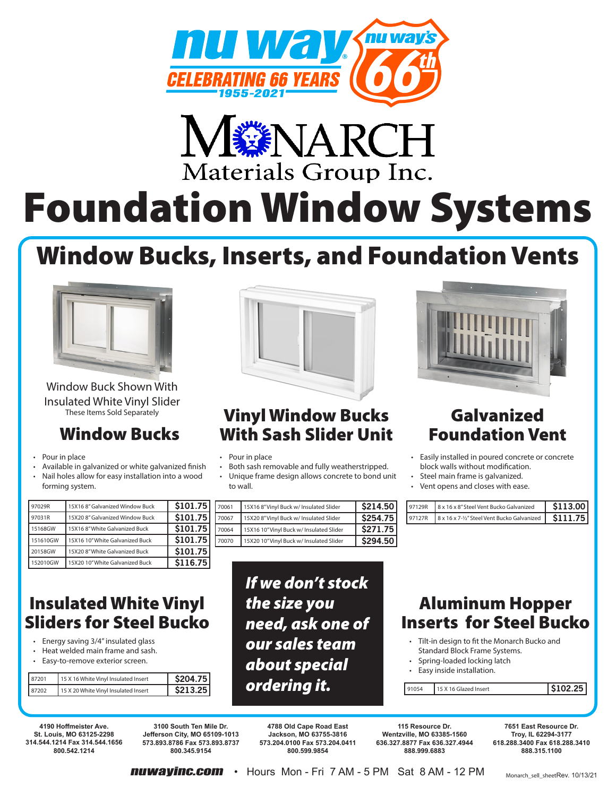



# Foundation Window Systems

## Window Bucks, Inserts, and Foundation Vents



Window Buck Shown With Insulated White Vinyl Slider These Items Sold Separately

## Window Bucks

- Pour in place
- Available in galvanized or white galvanized finish
- Nail holes allow for easy installation into a wood forming system.

| 97029R   | 15X168" Galvanized Window Buck  | \$101.75 |
|----------|---------------------------------|----------|
| 97031R   | 15X20 8" Galvanized Window Buck | \$101.75 |
| 15168GW  | 15X16 8" White Galvanized Buck  | \$101.75 |
| 151610GW | 15X16 10" White Galvanized Buck | \$101.75 |
| 20158GW  | 15X20 8" White Galvanized Buck  | \$101.75 |
| 152010GW | 15X20 10" White Galvanized Buck | \$116.75 |

## Insulated White Vinyl Sliders for Steel Bucko

- Energy saving 3/4" insulated glass
- Heat welded main frame and sash.
- Easy-to-remove exterior screen.

| \$213.25<br>15 X 20 White Vinyl Insulated Insert<br>87202 |  |
|-----------------------------------------------------------|--|

## Vinyl Window Bucks With Sash Slider Unit

- Pour in place
- Both sash removable and fully weatherstripped.
- Unique frame design allows concrete to bond unit to wall.

| 70061 | 15X16 8"Vinyl Buck w/ Insulated Slider   | \$214.50 |
|-------|------------------------------------------|----------|
| 70067 | 15X20 8"Vinyl Buck w/ Insulated Slider   | \$254.75 |
| 70064 | 15X16 10" Vinyl Buck w/ Insulated Slider | \$271.75 |
| 70070 | 15X20 10" Vinyl Buck w/ Insulated Slider | \$294.50 |

*If we don't stock the size you need, ask one of our sales team about special ordering it.*



## Galvanized Foundation Vent

- Easily installed in poured concrete or concrete block walls without modification.
- Steel main frame is galvanized.
- Vent opens and closes with ease.

| l 97129R | 8 x 16 x 8" Steel Vent Bucko Galvanized               | <b>S113 001</b> |
|----------|-------------------------------------------------------|-----------------|
| I 97127R | 8x 16 x 7-1/2" Steel Vent Bucko Galvanized   \$111.75 |                 |

## Aluminum Hopper Inserts for Steel Bucko

- Tilt-in design to fit the Monarch Bucko and Standard Block Frame Systems.
- Spring-loaded locking latch
- Easy inside installation.

91054 15 X 16 Glazed Insert **\$102.25** 

**4190 Hoffmeister Ave. St. Louis, MO 63125-2298 314.544.1214 Fax 314.544.1656 800.542.1214**

**3100 South Ten Mile Dr. Jefferson City, MO 65109-1013 573.893.8786 Fax 573.893.8737 800.345.9154**

**4788 Old Cape Road East Jackson, MO 63755-3816 573.204.0100 Fax 573.204.0411 800.599.9854**

**115 Resource Dr. Wentzville, MO 63385-1560 636.327.8877 Fax 636.327.4944 888.999.6883**

**7651 East Resource Dr. Troy, IL 62294-3177 618.288.3400 Fax 618.288.3410 888.315.1100**

**nuwayinc.com •** Hours Mon - Fri 7 AM - 5 PM Sat 8 AM - 12 PM